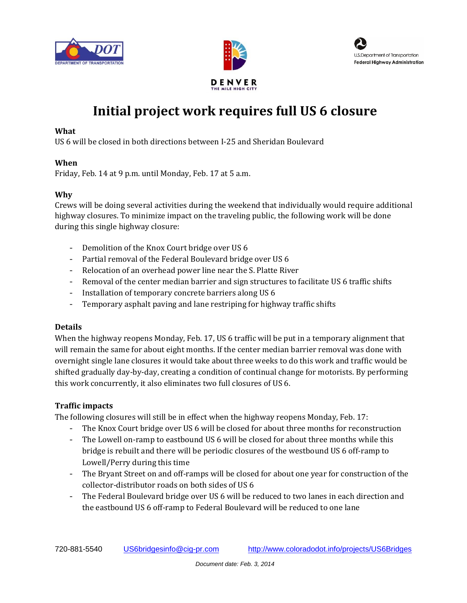





# **Initial project work requires full US 6 closure**

### **What**

US 6 will be closed in both directions between I-25 and Sheridan Boulevard

### **When**

Friday, Feb. 14 at 9 p.m. until Monday, Feb. 17 at 5 a.m.

## **Why**

Crews will be doing several activities during the weekend that individually would require additional highway closures. To minimize impact on the traveling public, the following work will be done during this single highway closure:

- Demolition of the Knox Court bridge over US 6
- Partial removal of the Federal Boulevard bridge over US 6
- Relocation of an overhead power line near the S. Platte River
- Removal of the center median barrier and sign structures to facilitate US 6 traffic shifts
- Installation of temporary concrete barriers along US 6
- Temporary asphalt paving and lane restriping for highway traffic shifts

### **Details**

When the highway reopens Monday, Feb. 17, US 6 traffic will be put in a temporary alignment that will remain the same for about eight months. If the center median barrier removal was done with overnight single lane closures it would take about three weeks to do this work and traffic would be shifted gradually day-by-day, creating a condition of continual change for motorists. By performing this work concurrently, it also eliminates two full closures of US 6.

# **Traffic impacts**

The following closures will still be in effect when the highway reopens Monday, Feb. 17:

- The Knox Court bridge over US 6 will be closed for about three months for reconstruction
- The Lowell on-ramp to eastbound US 6 will be closed for about three months while this bridge is rebuilt and there will be periodic closures of the westbound US 6 off-ramp to Lowell/Perry during this time
- The Bryant Street on and off-ramps will be closed for about one year for construction of the collector-distributor roads on both sides of US 6
- The Federal Boulevard bridge over US 6 will be reduced to two lanes in each direction and the eastbound US 6 off-ramp to Federal Boulevard will be reduced to one lane